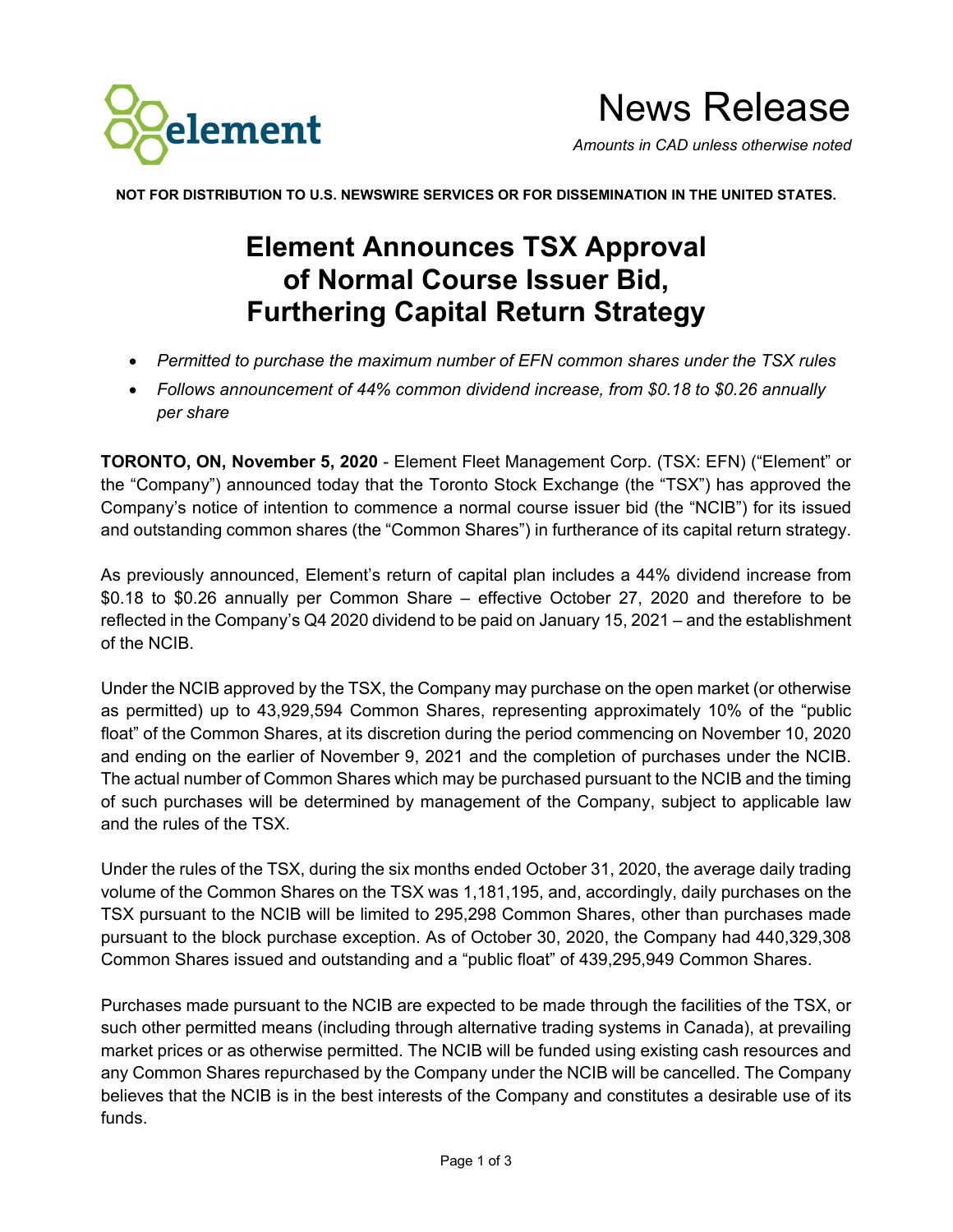

News Release *Amounts in CAD unless otherwise noted*

**NOT FOR DISTRIBUTION TO U.S. NEWSWIRE SERVICES OR FOR DISSEMINATION IN THE UNITED STATES.**

## **Element Announces TSX Approval of Normal Course Issuer Bid, Furthering Capital Return Strategy**

- *Permitted to purchase the maximum number of EFN common shares under the TSX rules*
- *Follows announcement of 44% common dividend increase, from \$0.18 to \$0.26 annually per share*

**TORONTO, ON, November 5, 2020** - Element Fleet Management Corp. (TSX: EFN) ("Element" or the "Company") announced today that the Toronto Stock Exchange (the "TSX") has approved the Company's notice of intention to commence a normal course issuer bid (the "NCIB") for its issued and outstanding common shares (the "Common Shares") in furtherance of its capital return strategy.

As previously announced, Element's return of capital plan includes a 44% dividend increase from \$0.18 to \$0.26 annually per Common Share – effective October 27, 2020 and therefore to be reflected in the Company's Q4 2020 dividend to be paid on January 15, 2021 – and the establishment of the NCIB.

Under the NCIB approved by the TSX, the Company may purchase on the open market (or otherwise as permitted) up to 43,929,594 Common Shares, representing approximately 10% of the "public float" of the Common Shares, at its discretion during the period commencing on November 10, 2020 and ending on the earlier of November 9, 2021 and the completion of purchases under the NCIB. The actual number of Common Shares which may be purchased pursuant to the NCIB and the timing of such purchases will be determined by management of the Company, subject to applicable law and the rules of the TSX.

Under the rules of the TSX, during the six months ended October 31, 2020, the average daily trading volume of the Common Shares on the TSX was 1,181,195, and, accordingly, daily purchases on the TSX pursuant to the NCIB will be limited to 295,298 Common Shares, other than purchases made pursuant to the block purchase exception. As of October 30, 2020, the Company had 440,329,308 Common Shares issued and outstanding and a "public float" of 439,295,949 Common Shares.

Purchases made pursuant to the NCIB are expected to be made through the facilities of the TSX, or such other permitted means (including through alternative trading systems in Canada), at prevailing market prices or as otherwise permitted. The NCIB will be funded using existing cash resources and any Common Shares repurchased by the Company under the NCIB will be cancelled. The Company believes that the NCIB is in the best interests of the Company and constitutes a desirable use of its funds.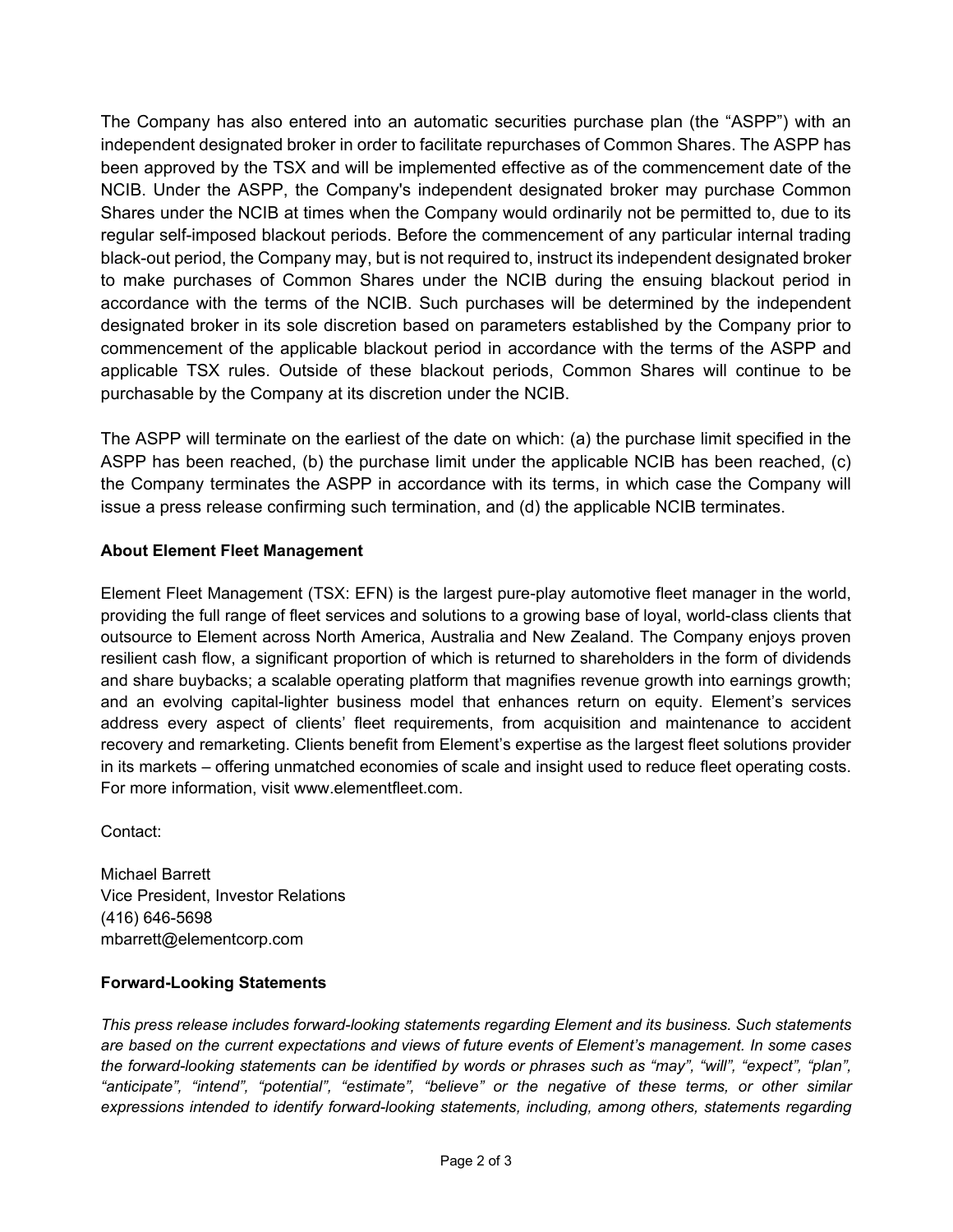The Company has also entered into an automatic securities purchase plan (the "ASPP") with an independent designated broker in order to facilitate repurchases of Common Shares. The ASPP has been approved by the TSX and will be implemented effective as of the commencement date of the NCIB. Under the ASPP, the Company's independent designated broker may purchase Common Shares under the NCIB at times when the Company would ordinarily not be permitted to, due to its regular self-imposed blackout periods. Before the commencement of any particular internal trading black-out period, the Company may, but is not required to, instruct its independent designated broker to make purchases of Common Shares under the NCIB during the ensuing blackout period in accordance with the terms of the NCIB. Such purchases will be determined by the independent designated broker in its sole discretion based on parameters established by the Company prior to commencement of the applicable blackout period in accordance with the terms of the ASPP and applicable TSX rules. Outside of these blackout periods, Common Shares will continue to be purchasable by the Company at its discretion under the NCIB.

The ASPP will terminate on the earliest of the date on which: (a) the purchase limit specified in the ASPP has been reached, (b) the purchase limit under the applicable NCIB has been reached, (c) the Company terminates the ASPP in accordance with its terms, in which case the Company will issue a press release confirming such termination, and (d) the applicable NCIB terminates.

## **About Element Fleet Management**

Element Fleet Management (TSX: EFN) is the largest pure-play automotive fleet manager in the world, providing the full range of fleet services and solutions to a growing base of loyal, world-class clients that outsource to Element across North America, Australia and New Zealand. The Company enjoys proven resilient cash flow, a significant proportion of which is returned to shareholders in the form of dividends and share buybacks; a scalable operating platform that magnifies revenue growth into earnings growth; and an evolving capital-lighter business model that enhances return on equity. Element's services address every aspect of clients' fleet requirements, from acquisition and maintenance to accident recovery and remarketing. Clients benefit from Element's expertise as the largest fleet solutions provider in its markets – offering unmatched economies of scale and insight used to reduce fleet operating costs. For more information, visit www.elementfleet.com.

Contact:

Michael Barrett Vice President, Investor Relations (416) 646-5698 mbarrett@elementcorp.com

## **Forward-Looking Statements**

*This press release includes forward-looking statements regarding Element and its business. Such statements are based on the current expectations and views of future events of Element's management. In some cases the forward-looking statements can be identified by words or phrases such as "may", "will", "expect", "plan", "anticipate", "intend", "potential", "estimate", "believe" or the negative of these terms, or other similar expressions intended to identify forward-looking statements, including, among others, statements regarding*